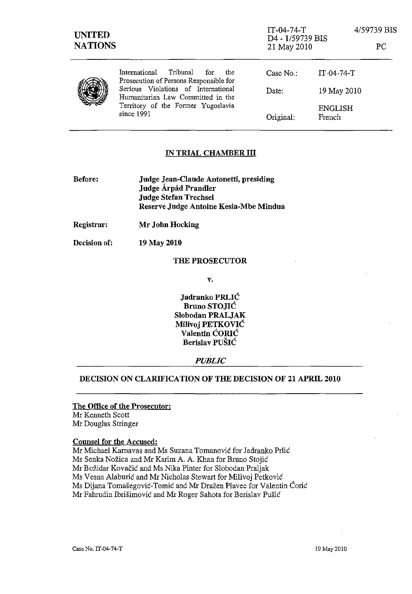| <b>UNITED</b><br><b>NATIONS</b> |                                                                                                                              | $IT-04-74-T$<br>D4 - 1/59739 BIS<br>21 May 2010 |                   | 4/59739 BIS<br><b>PC</b> |
|---------------------------------|------------------------------------------------------------------------------------------------------------------------------|-------------------------------------------------|-------------------|--------------------------|
|                                 | Tribunal<br>International<br>for<br>the<br>Prosecution of Persons Responsible for                                            | Case No.:                                       | $IT-04-74-T$      |                          |
|                                 | Serious Violations of International<br>Humanitarian Law Committed in the<br>Territory of the Former Yugoslavia<br>since 1991 | Date:                                           | 19 May 2010       |                          |
|                                 |                                                                                                                              | Original:                                       | ENGLISH<br>French |                          |

# IN TRIAL CHAMBER III

| Judge Jean-Claude Antonetti, presiding |
|----------------------------------------|
| Judge Árpád Prandler                   |
| <b>Judge Stefan Trechsel</b>           |
| Reserve Judge Antoine Kesia-Mbe Mindua |
|                                        |

Registrar: Mr John Hocking

Decision of: 19 May 2010

#### THE PROSECUTOR

v.

Jadranko PRLIC Bruno STOJIC Slobodan PRALJAK Milivoj PETKOVIC VaIentin CORIC Berislav PUSIC

### *PUBLIC*

## DECISION ON CLARIFICATION OF THE DECISION OF 21 APRIL 2010

## The Office of the Prosecutor: Mr Kenneth Scott Mr Douglas Stringer

#### Counsel for the Accused:

Mr Michael Karnavas and Ms Suzana Tomanović for Jadranko Prlić Ms Senka Nožica and Mr Karim A. A. Khan for Bruno Stojić Mr Bozidar Kovacic and Ms Nika Pinter for Slobodan Praljak Ms Vesna Alaburic and Mr Nicholas Stewart for Milivoj Petkovic Ms Dijana Tomašegović-Tomić and Mr Dražen Plavec for Valentin Ćorić Mr Fahrudin Ibrisimovic and Mr Roger Sahota for Berislav Pusic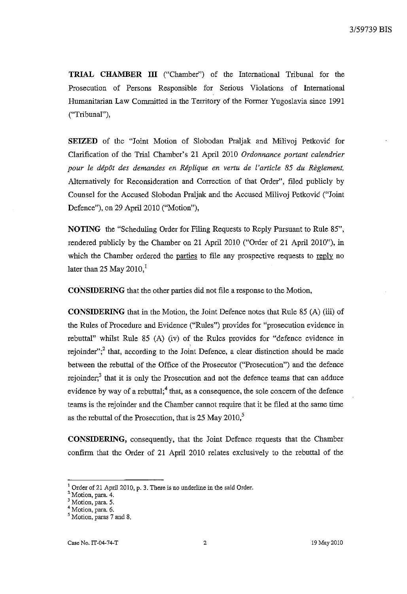**TRIAL CHAMBER ITI** ("Chamber") of the International Tribunal for the Prosecution of Persons Responsible for Serious Violations of International Humanitarian Law Committed in the Territory of the Fonner Yugoslavia since 1991 ("Tribunal"),

**SEIZED** of the "Joint Motion of Slobodan Praljak and Milivoj Petkovic for Clarification of the Trial Chamber's 21 April 2010 *Ordonnance portant calendrier pour le depot des demandes en Replique en vertu de* I' *article* 85 *du Reglement,*  Alternatively for Reconsideration and Correction of that Order", filed publicly by Counsel for the Accused Slobodan Praljak and the Accused Milivoj Petkovic ("Joint Defence"), on 29 April 2010 ("Motion"),

**NOTING** the "Scheduling Order for Filing Requests to Reply Pursuant to Rule 85", rendered publicly by the Chamber on 21 April 2010 ("Order of 21 April 2010"), in which the Chamber ordered the parties to file any prospective requests to  $\text{reply}$  no later than 25 May  $2010<sup>1</sup>$ 

**CONSIDERING** that the other parties did not file a response to the Motion,

**CONSIDERING** that in the Motion, the Joint Defence notes that Rule 85 (A) (iii) of the Rules of Procedure and Evidence ("Rules") provides for "prosecution evidence in rebuttal" whilst Rule 85 (A) (iv) of the Rules provides for "defence evidence in rejoinder"; $<sup>2</sup>$  that, according to the Joint Defence, a clear distinction should be made</sup> between the rebuttal of the Office of the Prosecutor ("Prosecution") and the defence rejoinder;<sup>3</sup> that it is only the Prosecution and not the defence teams that can adduce evidence by way of a rebuttal;<sup>4</sup> that, as a consequence, the sole concern of the defence teams is the rejoinder and the Chamber caunot require that it be filed at the same time as the rebuttal of the Prosecution, that is 25 May 2010,<sup>5</sup>

**CONSIDERING,** consequently, that the Joint Defence requests that the Chamber confinn that the Order of 21 April 2010 relates exclusively to the rebuttal of the

 $<sup>1</sup>$  Order of 21 April 2010, p. 3. There is no underline in the said Order.</sup>

**<sup>2</sup> Motion, para. 4.** 

<sup>&</sup>lt;sup>3</sup> Motion, para. 5.

**<sup>4</sup> Motion, para. 6.** 

<sup>&</sup>lt;sup>5</sup> Motion, paras 7 and 8.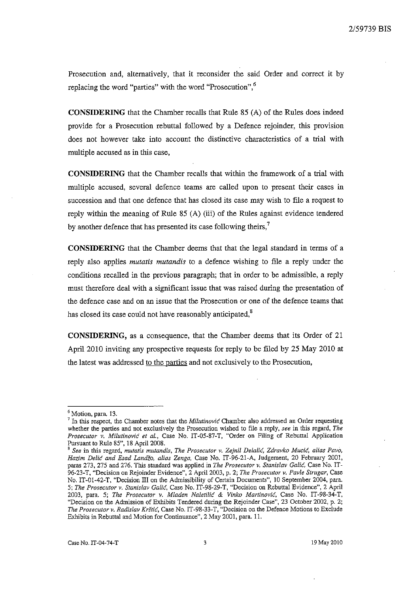Prosecution and, alternatively, that it reconsider the said Order and correct it by replacing the word "parties" with the word "Prosecution",<sup>6</sup>

**CONSIDERING** that the Chamber recalls that Rule 85 (A) of the Rules does indeed provide for a Prosecution rebuttal followed by a Defence rejoinder, this provision does not however take into account the distinctive characteristics of a trial with multiple accused as in this case,

**CONSIDERING** that the Chamber recalls that within the framework of a trial with multiple accused, several defence tearns are called upon to present their cases in succession and that one defence that has closed its case may wish to file a request to reply within the meaning of Rule 85 (A) (iii) of the Rules against evidence tendered by another defence that has presented its case following theirs,<sup>7</sup>

**CONSIDERING** that the Chamber deems that that the legal standard in terms of a reply also applies *mutatis mutandis* to a defence wishing to file a reply under the conditions recalled in the previous paragraph; that in order to be admissible, a reply must therefore deal with a significant issue that was raised during the presentation of the defence case and on an issue that the Prosecution or one of the defence teams that has closed its case could not have reasonably anticipated,<sup>8</sup>

**CONSIDERING,** as a consequence, that the Chamber deems that its Order of 21 April 2010 inviting any prospective requests for reply to be filed by 25 May 2010 at the latest was addressed to the parties and not exclusively to the Prosecution,

<sup>6</sup> Motion, para. 13.

<sup>7</sup>**In this respect, the Chamber notes that the** *Milutinovi6* **Chamber also addressed an Order requesting whether the parties and not exclusively the Prosecution wished to file a reply,** *see* **in this regard,** *The Prosecutor v. Milutinovie et al.,* Case No. IT-05-S7-T, "Order on Filing of Rebuttal Application Pursuant to Rule S5", IS April 200S.

**<sup>8</sup>** *See* **in this regard,** *mutatis mutandis, The Prosecutor* **v.** *Zejnil* **Delalic,** *Zdravko* **Mucic,** *alias Pavo, Hazim Delie and Esad LandZo. alias Zenga,* Case No. IT-96-21-A, Judgement, 20 February 2001, paras 273, 275 and 276. This standard was applied in *The Prosecutor* v. *Stanislav Colic,* Case No. IT-96-23-T, "Decision on Rejoinder Evidence", 2 April 2003, p. 2; *The Prosecutor* v. *Pavle Strugar,* Case No. IT-01-42-T, "Decision III on the Admissibility of Certain Documents", 10 September 2004, para. *5; The Prosecutor* **v.** *Stanislav Gali6,* **Case No. IT-98-29-T, "Decision on Rebuttal Evidence", 2 April**  2003, para. 5; *The Prosecutor* v. *Mladen Naletilie* & *Vinko Martinovie,* Case No. IT-9S-34-T, "Decision on the Admission of Exhibits Tendered during the Rejoinder Case", 23 October 2002, p. 2; *The Prosecutor v. Radislav* **Krstic, Case No. IT -98-33-T, "Decision on the Defence Motions to Exclude**  Exhibits in Rebuttal and Motion for Continuance", 2 May 2001, para. 11.